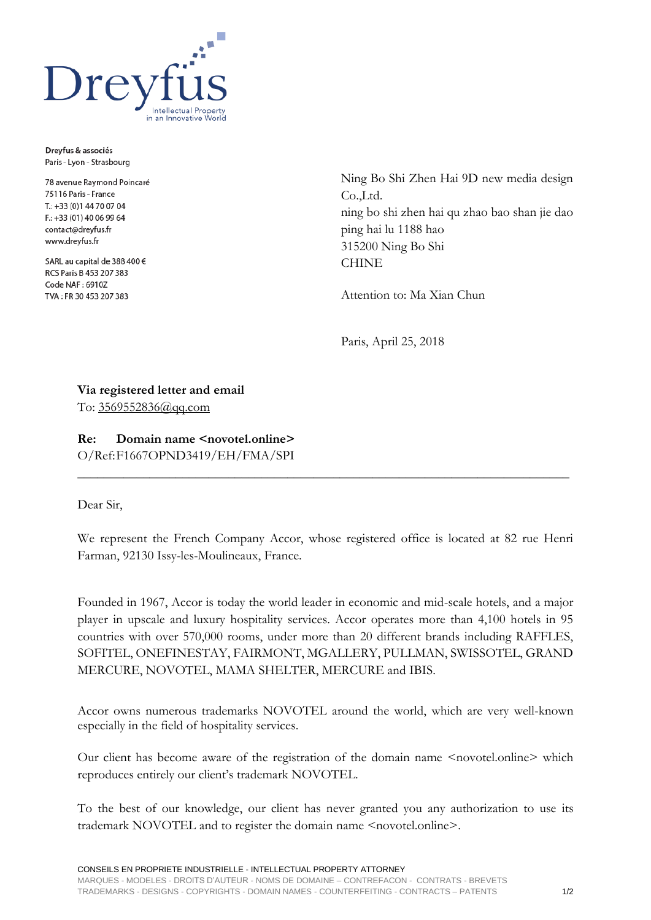

Dreyfus & associés Paris - Lyon - Strasbourg

78 avenue Raymond Poincaré 75116 Paris - France T.: +33 (0) 144 70 07 04 F.: +33 (01) 40 06 99 64 contact@dreyfus.fr www.dreyfus.fr

SARL au capital de 388 400 € RCS Paris B 453 207 383 Code NAF: 6910Z TVA: FR 30 453 207 383

Ning Bo Shi Zhen Hai 9D new media design Co.,Ltd. ning bo shi zhen hai qu zhao bao shan jie dao ping hai lu 1188 hao 315200 Ning Bo Shi **CHINE** 

Attention to: Ma Xian Chun

Paris, April 25, 2018

**Via registered letter and email** To: [3569552836@qq.com](mailto:3569552836@qq.com)

**Re: Domain name <novotel.online>** O/Ref:F1667OPND3419/EH/FMA/SPI

## Dear Sir,

We represent the French Company Accor, whose registered office is located at 82 rue Henri Farman, 92130 Issy-les-Moulineaux, France.

**\_\_\_\_\_\_\_\_\_\_\_\_\_\_\_\_\_\_\_\_\_\_\_\_\_\_\_\_\_\_\_\_\_\_\_\_\_\_\_\_\_\_\_\_\_\_\_\_\_\_\_\_\_\_\_\_\_\_\_\_\_\_\_\_\_\_\_\_\_\_\_\_\_\_\_**

Founded in 1967, Accor is today the world leader in economic and mid-scale hotels, and a major player in upscale and luxury hospitality services. Accor operates more than 4,100 hotels in 95 countries with over 570,000 rooms, under more than 20 different brands including RAFFLES, SOFITEL, ONEFINESTAY, FAIRMONT, MGALLERY, PULLMAN, SWISSOTEL, GRAND MERCURE, NOVOTEL, MAMA SHELTER, MERCURE and IBIS.

Accor owns numerous trademarks NOVOTEL around the world, which are very well-known especially in the field of hospitality services.

Our client has become aware of the registration of the domain name <novotel.online> which reproduces entirely our client's trademark NOVOTEL.

To the best of our knowledge, our client has never granted you any authorization to use its trademark NOVOTEL and to register the domain name <novotel.online>.